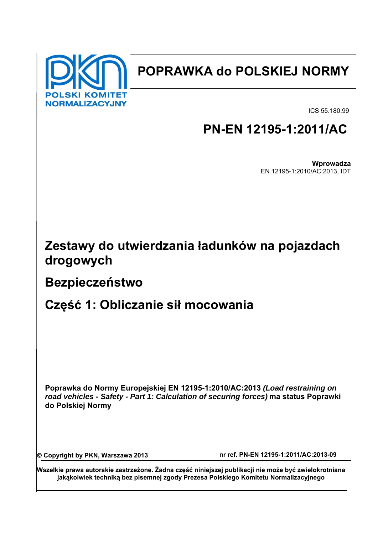

# **POPRAWKA do POLSKIEJ NORMY**

ICS 55.180.99

# **PN-EN 12195-1:2011/AC**

**Wprowadza** EN 12195-1:2010/AC:2013, IDT

# **Zestawy do utwierdzania ładunków na pojazdach drogowych**

### **Bezpieczeństwo**

## **Część 1: Obliczanie sił mocowania**

**Poprawka do Normy Europejskiej EN 12195-1:2010/AC:2013** *(Load restraining on road vehicles - Safety - Part 1: Calculation of securing forces)* **ma status Poprawki do Polskiej Normy** 

© Copyright by PKN, Warszawa 2013 nr ref. PN-EN 12195-1:2011/AC:2013-09

**Wszelkie prawa autorskie zastrzeżone. Żadna część niniejszej publikacji nie może być zwielokrotniana jakąkolwiek techniką bez pisemnej zgody Prezesa Polskiego Komitetu Normalizacyjnego**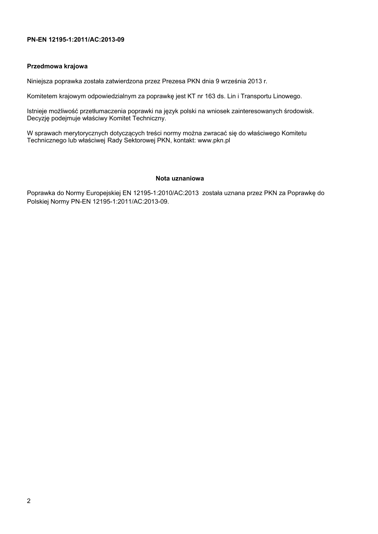#### **PN-EN 12195-1:2011/AC:2013-09**

#### **Przedmowa krajowa**

Niniejsza poprawka została zatwierdzona przez Prezesa PKN dnia 9 września 2013 r*.* 

Komitetem krajowym odpowiedzialnym za poprawkę jest KT nr 163 ds. Lin i Transportu Linowego.

Istnieje możliwość przetłumaczenia poprawki na język polski na wniosek zainteresowanych środowisk. Decyzję podejmuje właściwy Komitet Techniczny.

W sprawach merytorycznych dotyczących treści normy można zwracać się do właściwego Komitetu Technicznego lub właściwej Rady Sektorowej PKN, kontakt: www.pkn.pl

#### **Nota uznaniowa**

Poprawka do Normy Europejskiej EN 12195-1:2010/AC:2013 została uznana przez PKN za Poprawkę do Polskiej Normy PN-EN 12195-1:2011/AC:2013-09.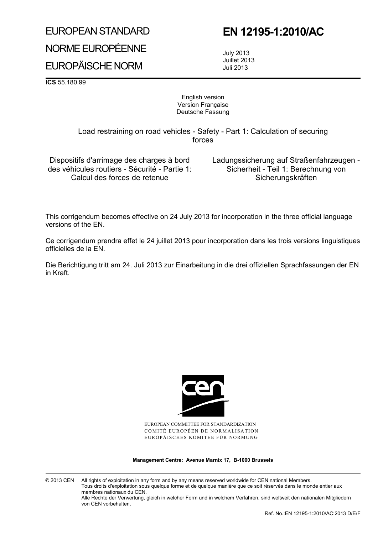### EUROPEAN STANDARD

# NORME EUROPÉENNE

### EUROPÄISCHE NORM

### **EN 12195-1:2010/AC**

 July 2013 Juillet 2013 Juli 2013

**ICS** 55.180.99

#### English version Version Française Deutsche Fassung

 Load restraining on road vehicles - Safety - Part 1: Calculation of securing forces

Dispositifs d'arrimage des charges à bord des véhicules routiers - Sécurité - Partie 1: Calcul des forces de retenue

 Ladungssicherung auf Straßenfahrzeugen - Sicherheit - Teil 1: Berechnung von **Sicherungskräften** 

This corrigendum becomes effective on 24 July 2013 for incorporation in the three official language versions of the EN.

Ce corrigendum prendra effet le 24 juillet 2013 pour incorporation dans les trois versions linguistiques officielles de la EN.

Die Berichtigung tritt am 24. Juli 2013 zur Einarbeitung in die drei offiziellen Sprachfassungen der EN in Kraft.



EUROPEAN COMMITTEE FOR STANDARDIZATION COMITÉ EUROPÉEN DE NORMALISATION EUROPÄISCHES KOMITEE FÜR NORMUNG

**Management Centre: Avenue Marnix 17, B-1000 Brussels** 

© 2013 CEN All rights of exploitation in any form and by any means reserved worldwide for CEN national Members. Tous droits d'exploitation sous quelque forme et de quelque manière que ce soit réservés dans le monde entier aux membres nationaux du CEN. Alle Rechte der Verwertung, gleich in welcher Form und in welchem Verfahren, sind weltweit den nationalen Mitgliedern von CEN vorbehalten.